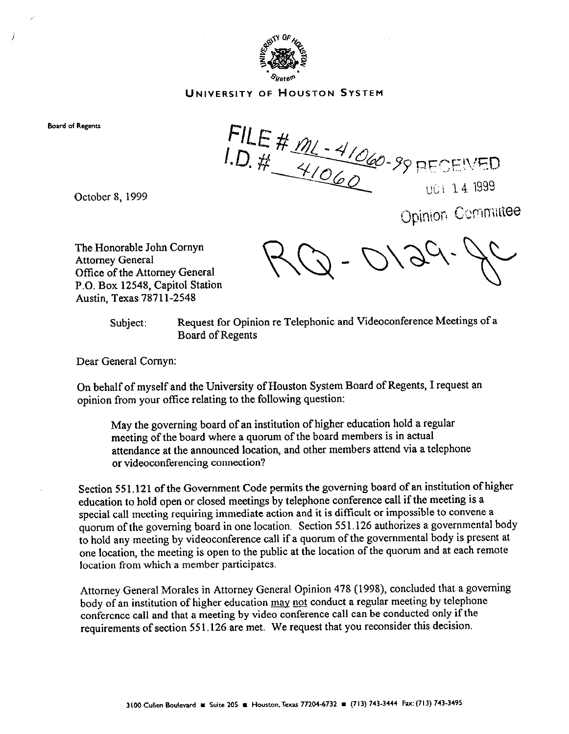

## UNIVERSITY OF HOUSTON SYSTEM

**Board of Regents** 

j

FILE #  $m = 4/060 - 99$  RECEIVED

October 8, 1999

Opinion Committee

The Honorable John Comyn Attorney General Office of the Attorney General P.O. Box 12548, Capitol Station Austin, Texas 7871 l-2548

Subject: Request for Opinion re Telephonic and Videoconference Meetings of a Board of Regents

Dear General Comyn:

On behalf of myself and the University of Houston System Board of Regents, I request an opinion from your offtce relating to the following question:

May the governing board of an institution of higher education hold a regular meeting of the board where a quorum of the board members is in actual attendance at the announced location, and other members attend via a telephone or videoconferencing connection?

Section 551.121 of the Government Code permits the governing board of an institution of higher education to hold open or closed meetings by telephone conference call if the meeting is a special call meeting requiring immediate action and it is difficult or impossible to convene a quorum of the governing board in one location. Section 551.126 authorizes a governmental body to hold any meeting by videoconference call if a quorum of the governmental body is present at one location, the meeting is open to the public at the location of the quorum and at each remote location from which a member participates.

Attorney General Morales in Attorney General Opinion 478 (1998), concluded that a governing body of an institution of higher education may not conduct a regular meeting by telephone conference call and that a meeting by video conference call can be conducted only if the requirements of section 551.126 are met. We request that you reconsider this decision.